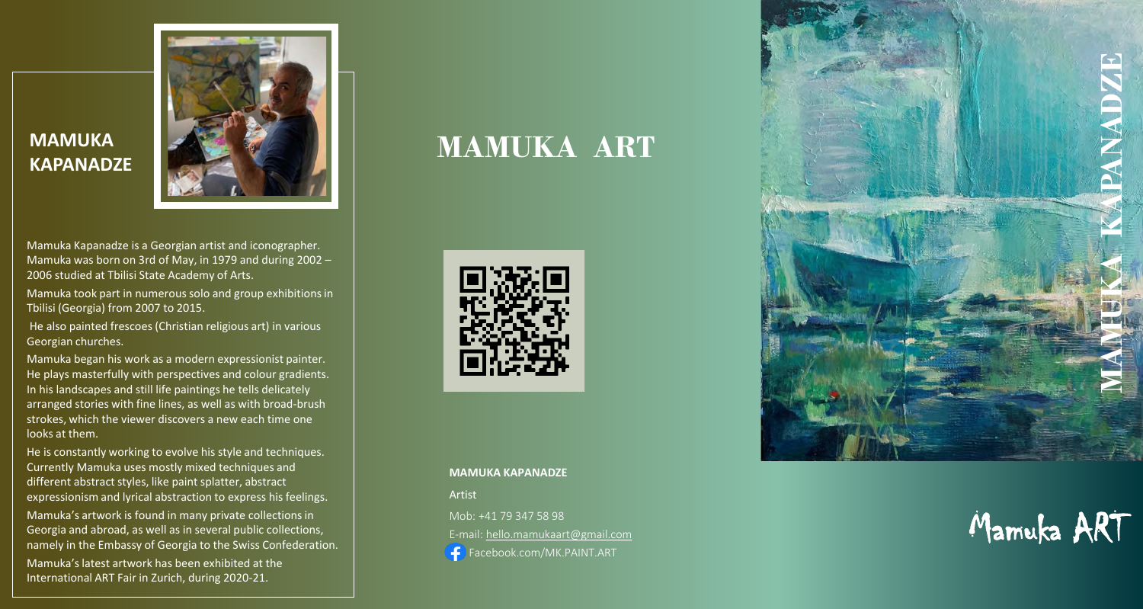### **MAMUKA KAPANADZE**



Mamuka Kapanadze is a Georgian artist and iconographer. Mamuka was born on 3rd of May, in 1979 and during 2002 – 2006 studied at Tbilisi State Academy of Arts.

Mamuka took part in numerous solo and group exhibitions in Tbilisi (Georgia) from 2007 to 2015 .

He also painted frescoes (Christian religious art) in various Georgian churches.

Mamuka began his work as a modern expressionist painter. He plays masterfully with perspectives and colour gradients. In his landscapes and still life paintings he tells delicately arranged stories with fine lines, as well as with broad -brush strokes, which the viewer discovers a new each time one looks at them.

He is constantly working to evolve his style and techniques. Currently Mamuka uses mostly mixed techniques and different abstract styles, like paint splatter, abstract expressionism and lyrical abstraction to express his feelings . Mamuka's artwork is found in many private collections in Georgia and abroad, as well as in several public collections, namely in the Embassy of Georgia to the Swiss Confederation . Mamuka'slatest artwork has been exhibited at the International ART Fair in Zurich, during 2020 -21.

## **MAMUKA ART**



#### **MAMUKA KAPANADZE**

Artist

Mob: +41 79 347 58 98

E-mail: [hello.mamukaart@gmail.com](mailto:hello.mamukaart@gmail.com)

Facebook.com/MK.PAINT.ART